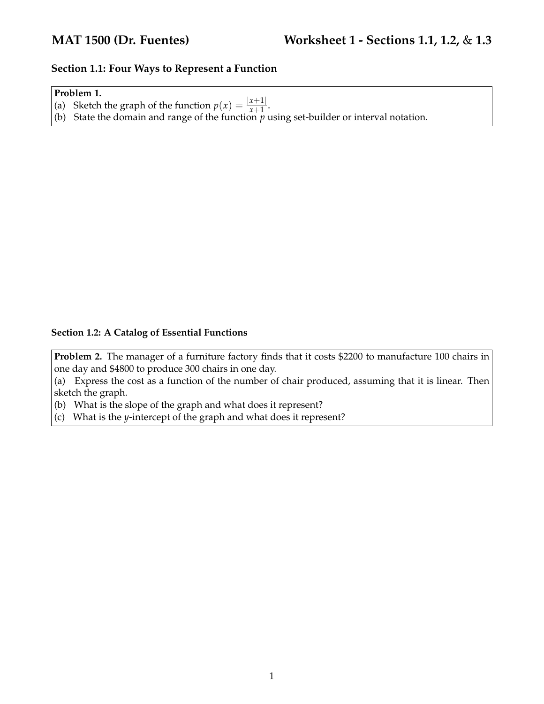## **Section 1.1: Four Ways to Represent a Function**

## **Problem 1.**

- (a) Sketch the graph of the function  $p(x) = \frac{|x+1|}{x+1}$ .
- (b) State the domain and range of the function *p* using set-builder or interval notation.

## **Section 1.2: A Catalog of Essential Functions**

**Problem 2.** The manager of a furniture factory finds that it costs \$2200 to manufacture 100 chairs in one day and \$4800 to produce 300 chairs in one day.

(a) Express the cost as a function of the number of chair produced, assuming that it is linear. Then sketch the graph.

(b) What is the slope of the graph and what does it represent?

(c) What is the *y*-intercept of the graph and what does it represent?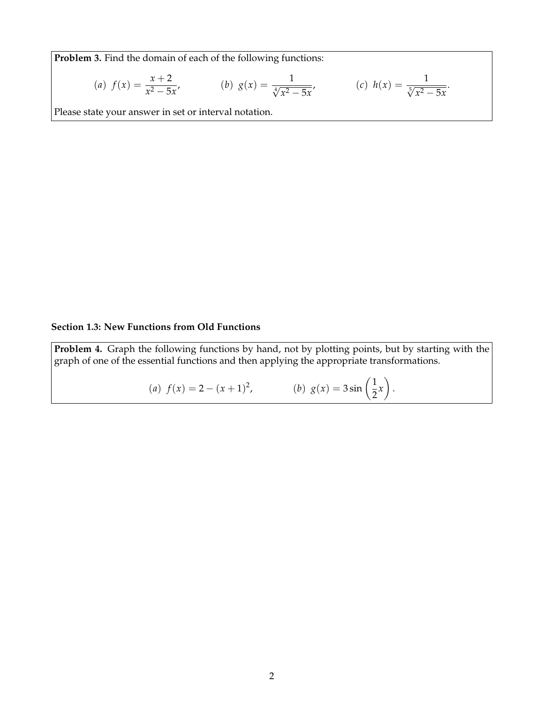**Problem 3.** Find the domain of each of the following functions:

(a) 
$$
f(x) = \frac{x+2}{x^2 - 5x}
$$
, \t\t (b)  $g(x) = \frac{1}{\sqrt[4]{x^2 - 5x}}$ , \t\t (c)  $h(x) = \frac{1}{\sqrt[5]{x^2 - 5x}}$ .

Please state your answer in set or interval notation.

## **Section 1.3: New Functions from Old Functions**

**Problem 4.** Graph the following functions by hand, not by plotting points, but by starting with the graph of one of the essential functions and then applying the appropriate transformations.

(a) 
$$
f(x) = 2 - (x+1)^2
$$
,   
 (b)  $g(x) = 3\sin(\frac{1}{2}x)$ .